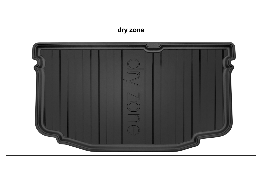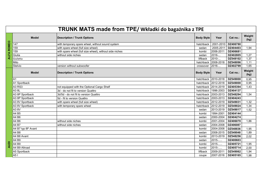|             | TRUNK MATS made from TPE/ Wkładki do bagażnika z TPE |                                                         |                   |           |          |                |  |  |  |
|-------------|------------------------------------------------------|---------------------------------------------------------|-------------------|-----------|----------|----------------|--|--|--|
|             | <b>Model</b>                                         | <b>Description / Trunk Options</b>                      | <b>Body Style</b> | Year      | Cat no.: | Weight<br>(kg) |  |  |  |
| ALFA ROMEO  | 147                                                  | with temporary spare wheel, without sound system        | hatchback         | 2001-2010 | DZ406780 |                |  |  |  |
|             | 159                                                  | with spare wheel (full size wheel)                      | sedan             | 2005-2011 | DZ404403 | 1,94           |  |  |  |
|             | 159                                                  | with spare wheel (full size wheel), without side niches | kombi             | 2006-2011 | DZ406681 |                |  |  |  |
|             | Giulia                                               | without side niches                                     | sedan             | 2016-     | DZ402805 | 1,27           |  |  |  |
|             | Giulietta                                            |                                                         | liftback          | 2010-     | DZ548102 | 1,37           |  |  |  |
|             | Mito                                                 |                                                         | hatchback         | 2008-2018 | DZ548096 | 1,11           |  |  |  |
|             | Stelvio                                              | version without subwoofer                               | crossover         | 2016-     | DZ402799 | 1,65           |  |  |  |
|             | <b>Model</b>                                         | <b>Description / Trunk Options</b>                      | <b>Body Style</b> | Year      | Cat no.: | Weight<br>(kg) |  |  |  |
|             | A1                                                   |                                                         | hatchback         | 2010-2018 | DZ549000 | 0,95           |  |  |  |
|             | A1 Sportback                                         |                                                         | hatchback         | 2012-2018 | DZ549000 | 0,95           |  |  |  |
|             | <b>A3 RS3</b>                                        | not equipped with the Optional Cargo Shelf              | hatchback         | 2014-2019 | DZ405394 | 1,43           |  |  |  |
|             | A3 8L                                                | 3d - do not fit to version Quattro                      | hatchback         | 1996-2003 | DZ404137 |                |  |  |  |
|             | A3 8P Sportback                                      | 3d/5d - do not fit to version Quattro                   | hatchback         | 2003-2013 | DZ548294 | 1,54           |  |  |  |
|             | A3 8P Sportback                                      | 5d - fit to version Quattro                             | hatchback         | 2003-2013 | DZ404243 |                |  |  |  |
|             | A3 8V Sportback                                      | with spare wheel (full size wheel)                      | hatchback         | 2012-2019 | DZ549031 | 1,32           |  |  |  |
|             | A3 8V Sportback                                      | with temporary spare wheel                              | hatchback         | 2012-2019 | DZ549024 | 1,34           |  |  |  |
|             | A38V                                                 |                                                         | sedan             | 2013-2019 | DZ549017 | 1,52           |  |  |  |
|             | A4 B5                                                |                                                         | kombi             | 1994-2001 | DZ404144 |                |  |  |  |
|             | A4 B6                                                |                                                         | sedan             | 2000-2004 | DZ404274 |                |  |  |  |
|             | A4 B6                                                | without side niches                                     | kombi             | 2001-2004 | DZ406070 | 1,86           |  |  |  |
|             | A4 B7                                                | without side niches                                     | sedan             | 2004-2008 | DZ406087 |                |  |  |  |
|             | A4 B7 typ 8F Avant                                   |                                                         | kombi             | 2004-2008 | DZ548836 | 1,95           |  |  |  |
|             | A4 B8                                                |                                                         | sedan             | 2008-2015 | DZ549048 | 1,89           |  |  |  |
|             | A4 B8 Avant                                          |                                                         | kombi             | 2013-2019 | DZ548256 | 2,02           |  |  |  |
|             | A4 B9                                                |                                                         | sedan             | 2015-     | DZ400603 |                |  |  |  |
| <b>AUDI</b> | A4 B9                                                |                                                         | kombi             | 2015-     | DZ405721 | 1,95           |  |  |  |
|             | A4 B9 Allroad                                        |                                                         | kombi             | 2015-     | DZ405714 | 2,00           |  |  |  |
|             | A5 Sportback                                         |                                                         | liftback          | 2009-2011 | DZ549062 | 1,94           |  |  |  |
|             | A5I                                                  |                                                         | coupe             | 2007-2016 | DZ405165 | 1,98           |  |  |  |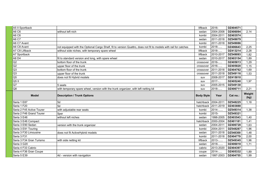| A5 II Sportback           |                                                                                                                  | liftback            | 2016-               | DZ404571 |                |
|---------------------------|------------------------------------------------------------------------------------------------------------------|---------------------|---------------------|----------|----------------|
| A6 C6                     | without left nich                                                                                                | sedan               | 2004-2008           | DZ406094 | 2,14           |
| A6 C6                     |                                                                                                                  | kombi               | 2004-2011           | DZ403574 |                |
| <b>A6 C7</b>              |                                                                                                                  | sedan               | 2011-2018           | DZ549079 |                |
| A6 C7 Avant               |                                                                                                                  | kombi               | 2011-2018           | DZ549086 |                |
| A6 C8 Avant               | not equipped with the Optional Cargo Shelf, fit to version Quattro, does not fit to models with rail for catches | kombi               | 2018-               | DZ406643 | 2,25           |
| A7 C8 Liftback            | without side niches, with temporary spare wheel                                                                  | liftback            | 2018-               | DZ413214 | 2,28           |
| A7 Sportback              |                                                                                                                  | liftback            | 2010-2017           | DZ549093 | 1,82           |
| $AB\overline{D4}$         | fit to standard version and long, with spare wheel                                                               | sedan               | 2010-2017           | DZ403154 | 1,89           |
| Q2                        | bottom floor of the trunk                                                                                        | crossover           | 2016-               | DZ405813 | 1,29           |
| Q2                        | upper floor of the trunk                                                                                         | crossover           | 2016-               | DZ405820 | 1,15           |
| Q <sub>3</sub>            | bottom floor of the trunk                                                                                        | crossover           | 2011-2018           | DZ404762 | 1,69           |
| Q <sub>3</sub>            | upper floor of the trunk                                                                                         | crossover           | 2011-2018           | DZ549116 | 1,53           |
| Q <sub>5</sub>            | does not fit Hybrid models                                                                                       | suv                 | 2008-2017           | DZ415010 |                |
| Q5II                      |                                                                                                                  | suv                 | 2017-               | DZ405240 | 1,97           |
| Q7                        | 5 seats                                                                                                          | suv                 | 2005-2015           | DZ549130 |                |
| Q8                        | with temporary spare wheel, version with the trunk organizer, with left netting kit                              | suv                 | 2018-               | DZ406711 | 2,21           |
|                           |                                                                                                                  |                     |                     |          |                |
| <b>Model</b>              | <b>Description / Trunk Options</b>                                                                               | <b>Body Style</b>   | Year                | Cat no.: | Weight<br>(kg) |
| Seria 1 E87               | 5d                                                                                                               | hatchback 2004-2011 |                     | DZ548225 | 1,18           |
| Seria 1 F20               | $\overline{5d}$                                                                                                  |                     | hatchback 2011-2019 | DZ403888 |                |
| Seria 2 F45 Active Tourer | with adjustable rear seats                                                                                       | kombi               | 2014-               | DZ549314 | 1,38           |
| Seria 2 F46 Grand Tourer  | 5per                                                                                                             | kombi               | 2015-               | DZ549321 |                |
| Seria 3 E46               | without left niches                                                                                              | sedan               | 1998-2005           | DZ403543 | 1,40           |
| Seria 3 E46 Compact       |                                                                                                                  | hatchback           | 2000-2004           | DZ401181 | 1,41           |
| Seria 3 E90 Sedan         | version with the trunk organizer                                                                                 | sedan               | 2004-2011           | DZ406728 | 1,63           |
| Seria 3 E91 Touring       |                                                                                                                  | kombi               | 2004-2011           | DZ548287 | 1,96           |
| Seria 3 F30 Limousine     | does not fit ActiveHybrid models                                                                                 | sedan               | 2011-2018           | DZ548300 | 1,48           |
| Seria 3 F31               |                                                                                                                  | kombi               | 2011-2018           | DZ404779 | 2,00           |
| Seria 3 F34 Gran Turismo  | with side netting kit                                                                                            | liftback            | 2013-               | DZ549345 | 1,96           |
| Seria 3 G20               |                                                                                                                  | sedan               | 2018-               | DZ406018 | 1,71           |
| Seria 4 F33 Cabrio        |                                                                                                                  | cabrio              | 2013-2020           | DZ404397 |                |
| Seria 4 F36 Gran Coupe    | 4d - version with navigation                                                                                     | coupe               | 2014-<br>1997-2003  | DZ405332 | 1,89<br>1,99   |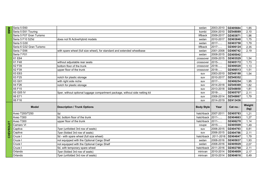|         | Seria 5 E60              |                                                                              | sedan               | 2003-2010              | DZ405684             | 1,85           |
|---------|--------------------------|------------------------------------------------------------------------------|---------------------|------------------------|----------------------|----------------|
| ms<br>≊ | Seria 5 E61 Touring      |                                                                              | kombi               | 2004-2010              | DZ548089             | 2,10           |
|         | Seria 5 F07 Gran Turismo |                                                                              | liftback            | 2009-2017              | DZ403871             | 1,96           |
|         | Seria 5 F10 525d         | does not fit ActiveHybrid models                                             | sedan               | 2010-2017              | DZ403840             | 1,75           |
|         | Seria 5 G30              |                                                                              | sedan               | 2017-                  | DZ403758             | 1,79           |
|         | Seria 6 G32 Gran Turismo |                                                                              | liftback            | 2017-                  | DZ406124             | 2,35           |
|         | Seria 7 E66              | with spare wheel (full size wheel), for standard and extended wheelbase      | sedan               | 2001-2008              | DZ406742             | 2,19           |
|         | Seria 7 F01              |                                                                              | sedan               | 2008-2015              | DZ405042             |                |
|         | X1 E84                   |                                                                              | crossover           | 2009-2015              | DZ403529             | 1,54           |
|         | X1 F48                   | without adjustable rear seats                                                | crossover           | 2015-                  | DZ405172             | 1,73           |
|         | X2 F39                   | bottom floor of the trunk                                                    | crossover           | 2018-                  | DZ406520             | 1,13           |
|         | X2 F39                   | upper floor of the trunk                                                     | crossover           | 2018-                  | DZ406513             | 1,51           |
|         | X3 E83                   |                                                                              | suv                 | 2003-2010              | DZ548188             | 1,54           |
|         | X3 F25                   | notch for plastic storage                                                    | suv                 | 2010-2017              | DZ549352             |                |
|         | X3 G01                   | with right side niche                                                        | suv                 | 2017-                  | DZ406254             | 1,95           |
|         | X4 F26                   | notch for plastic storage                                                    | suv                 | 2014-2018              | DZ549369             | 1,82           |
|         | X5 F15                   |                                                                              | suv                 | 2013-2018              | DZ548850             | 1,81           |
|         | X5 G05 IV                | 5per, without optional luggage compartment package, without side netting kit | suv                 | 2018-                  | DZ405707             | 2,11           |
|         | X6 E71                   |                                                                              | suv                 | 2008-2014              | DZ548867             | 1,79           |
|         | X6 F16                   |                                                                              | suv                 | 2014-2019              | DZ413436             |                |
|         | <b>Model</b>             | <b>Description / Trunk Options</b>                                           | <b>Body Style</b>   | Year                   | Cat no.:             | Weight<br>(kg) |
|         |                          | 5d                                                                           | hatchback 2007-2011 |                        | DZ405783             | 1,21           |
|         | Aveo T200/T250           |                                                                              |                     | hatchback $2011$ -     | DZ404663             | 1,27           |
|         | Aveo T300                | 5d, bottom floor of the trunk                                                |                     |                        |                      |                |
|         | Aveo T300                | upper floor of the trunk                                                     | hatchback           |                        | DZ406278             | 1,14           |
|         | Camaro VI                |                                                                              | coupe               | 2011-<br>2015-         | DZ405509             | 1,49           |
|         | Captiva                  | 7per (unfolded 3rd row of seats)                                             | suv                 | 2006-2015              | DZ404793             | 0,81           |
|         | Captiva                  | 7per (folded 3rd row of seats)                                               | suv                 | 2006-2015              | DZ404786             | 2,11           |
| 동       | Cruze I                  | 5d - with spare wheel (full size wheel)                                      | hatchback           | 2011-2016              | DZ404847             | 1,79           |
|         | Cruze I                  | not equipped with the Optional Cargo Shelf                                   | sedan               | 2008-2016              | DZ405837             | 1,93           |
|         | Cruze I                  | not equipped with the Optional Cargo Shelf                                   | sedan               | 2008-2016              | DZ405929             | 2,07           |
|         | Cruze I                  | 5d, with temporary spare wheel                                               | hatchback           | 2011-2016              | DZ402768             | 2,11           |
|         | Orlando<br>Orlando       | 7per (folded 3rd row of seats)<br>7per (unfolded 3rd row of seats)           | minivan             | 2010-2014<br>2010-2014 | DZ404809<br>DZ404816 | 2,17<br>0,49   |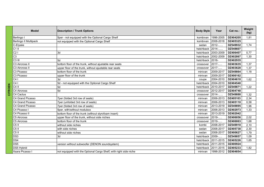| <b>Model</b>               | <b>Description / Trunk Options</b>                                | <b>Body Style</b> | Year      | Cat no.: | Weight<br>(kg) |
|----------------------------|-------------------------------------------------------------------|-------------------|-----------|----------|----------------|
| Berlingo I                 | 5per - not equipped with the Optional Cargo Shelf                 | kombivan          | 1996-2005 | DZ404205 | 1,81           |
| Berlingo II Multipack      | not equipped with the Optional Cargo Shelf                        | kombivan          | 2008-2018 | DZ405325 |                |
| C-Elysée                   |                                                                   | sedan             | 2012-     | DZ549932 | 1,74           |
| $C1$ II                    |                                                                   | hatchback         | 2014-     | DZ548607 |                |
| C21                        | 3d                                                                | hatchback         | 2003-2009 | DZ406407 | 0,77           |
| $\overline{C3}$            |                                                                   | hatchback         | 2002-2009 | DZ402867 | 1,30           |
| $C3$ III                   | 5d                                                                | hatchback         | 2016-     | DZ402935 |                |
| C <sub>3</sub> Aircross II | bottom floor of the trunk, without ajustable rear seats           | crossover         | 2017-     | DZ403635 | 1,37           |
| C <sub>3</sub> Aircross II | upper floor of the trunk, without ajustable rear seats            | crossover         | 2017-     | DZ403628 | 1,37           |
| C3 Picasso                 | bottom floor of the trunk                                         | minivan           | 2009-2017 | DZ549864 | 1,18           |
| C3 Picasso                 | upper floor of the trunk                                          | minivan           | 2009-2017 | DZ406162 |                |
| C4                         | 3d                                                                | coupe             | 2004-2010 | DZ404618 | 1,62           |
| C4I                        | 5d - not equipped with the Optional Cargo Shelf                   | hatchback         | 2004-2010 | DZ404540 |                |
| C <sub>4</sub> II          | 5d                                                                | hatchback         | 2010-2017 | DZ549871 | 1,22           |
| C4 Aircross                | 5d                                                                | crossover         | 2012-2017 | DZ404748 |                |
| C4 Cactus                  |                                                                   | crossover         | 2014-     | DZ549888 | 1,32           |
| C4 Grand Picasso           | 7per (folded 3rd row of seats)                                    | minivan           | 2006-2013 | DZ405103 | 2,34           |
| C4 Grand Picasso           | 7per (unfolded 3rd row of seats)                                  | minivan           | 2006-2013 | DZ405110 | 0,58           |
| C4 Grand Picasso           | 7per (folded 3rd row of seats)                                    | minivan           | 2013-2019 | DZ549895 | 1,96           |
| C4 Picasso I               | 5per, with/without modubox                                        | minivan           | 2006-2013 | DZ402973 | 1,33           |
| C4 Picasso II              | bottom floor of the trunk (without styrofoam insert)              | minivan           | 2013-2019 | DZ402942 |                |
| C5 Aircross                | upper floor of the trunk, without side niches                     | crossover         | 2019-     | DZ406056 | 2,02           |
| C5 Aircross                | bottom floor of the trunk                                         | crossover         | 2019-     | DZ406063 | 1,68           |
| $C5$ II                    | without side niches                                               | kombi             | 2008-2017 | DZ549918 | 2,10           |
| $C5$ II                    | with side niches                                                  | sedan             | 2008-2017 | DZ405738 | 2,30           |
| $C5$ II                    | without side niches                                               | sedan             | 2008-2017 | DZ400627 | 1,79           |
| DS <sub>3</sub>            | 3d                                                                | hatchback         | 2009-     | DZ549857 | 1,09           |
| DS4                        |                                                                   | hatchback         | 2011-2015 | DZ405226 | 1,65           |
| DS <sub>5</sub>            | version without subwoofer (DENON soundsystem)                     | hatchback         | 2011-2015 | DZ400924 |                |
| DS5 Hybrid                 |                                                                   | hatchback         | 2011-2015 | DZ405233 | 1,82           |
| Xsara Picasso I            | not equipped with the Optional Cargo Shelf, with right side niche | minivan           | 1998-2012 | DZ404854 |                |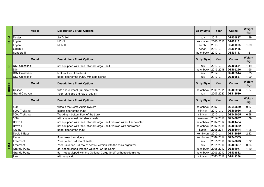|              | <b>Model</b>         | <b>Description / Trunk Options</b>                                    | <b>Body Style</b> | Year      | Cat no.: | Weight<br>(kg) |
|--------------|----------------------|-----------------------------------------------------------------------|-------------------|-----------|----------|----------------|
|              | Duster               | 2WD/2x4                                                               | suv               | 2017-     | DZ400887 | 1,89           |
| <b>DACIA</b> | Logan                | MCV <sub>I</sub>                                                      | kombivan          | 2006-2012 | DZ403161 |                |
|              | Logan                | <b>MCVII</b>                                                          | kombi             | 2013-     | DZ400863 | 1.89           |
|              | Logan II             |                                                                       | sedan             | 2013-     | DZ403185 |                |
|              | Sandero II           |                                                                       | hatchback         | 2012-     | DZ401143 | 1,61           |
|              | <b>Model</b>         | <b>Description / Trunk Options</b>                                    | <b>Body Style</b> | Year      | Cat no.: | Weight<br>(kg) |
| <b>SQ</b>    | <b>DS3 Crossback</b> | not equipped with the Optional Cargo Shelf                            | suv               | 2019-     | DZ406551 | 1,19           |
|              | DS4                  |                                                                       | hatchback         | 2015-2018 | DZ405226 | 1,65           |
|              | <b>DS7 Crossback</b> | bottom floor of the trunk                                             | suv               | 2017-     | DZ406544 | 1,65           |
|              | DS7 Crossback        | upper floor of the trunk, with side niches                            | suv               | 2017-     | DZ406537 | 1,90           |
| DODGE        | <b>Model</b>         | <b>Description / Trunk Options</b>                                    | <b>Body Style</b> | Year      | Cat no.: | Weight<br>(kg) |
|              | Caliber              | with spare wheel (full size wheel)                                    | hatchback         | 2006-2011 | DZ406933 | 1,67           |
|              | <b>Grand Caravan</b> | 7per (unfolded 3rd row of seats)                                      | van               | 2007-2020 | DZ413580 |                |
|              | <b>Model</b>         | <b>Description / Trunk Options</b>                                    | <b>Body Style</b> | Year      | Cat no.: | Weight<br>(kg) |
|              | 500                  | without the Beats Audio System                                        | hatchback         | 2007-     | DZ549659 | 0,87           |
|              | 500L Trekking        | middle floor of the trunk                                             | minivan           | 2012-     | DZ402966 | 1,05           |
|              | 500L Trekking        | Trekking – bottom floor of the trunk                                  | minivan           | 2012-     | DZ549055 | 0,98           |
|              | 500X                 | with spare wheel (full size wheel)                                    | crossover         | 2014-2019 | DZ549697 | 1,09           |
|              | Bravo II             | not equipped with the Optional Cargo Shelf, version without subwoofer | hatchback         | 2007-2014 | DZ404434 |                |
|              | Bravo II             | not equipped with the Optional Cargo Shelf, version with subwoofer    | hatchback         | 2007-2014 | DZ402652 |                |
|              | Croma                | upper floor of the trunk                                              | kombi             | 2005-2011 | DZ401044 | 1,05           |
|              | Doblo II Easy        |                                                                       | kombivan          | 2010-     | DZ413085 | 2,22           |
|              | Fiorinio             | 5per - rear barn doors                                                | kombivan          | 2007-2017 | DZ548539 |                |
|              | Freemont             | 7per (folded 3rd row of seats)                                        | suv               | 2011-2016 | DZ549673 | 1,72           |
| FIAT         | Freemont             | 7per (unfolded 3rd row of seats), version with the trunk organizer    | suv               | 2011-2016 | DZ406667 | 0,84           |
|              | <b>Grande Punto</b>  | 3d, not equipped with the Optional Cargo Shelf                        | hatchback         | 2005-2012 | DZ404977 | 1,30           |
|              | <b>Grande Punto</b>  | 5d - not equipped with the Optional Cargo Shelf, without side niches  | hatchback         | 2005-2012 | DZ405912 |                |
|              | Idea                 | with repair kit                                                       | minivan           | 2003-2012 | DZ413306 |                |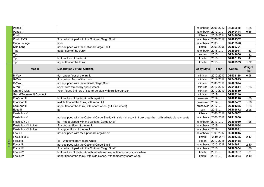| Panda II                         |                                                                                                                |                   | hatchback 2003-2012 | DZ405080 | 1,05           |
|----------------------------------|----------------------------------------------------------------------------------------------------------------|-------------------|---------------------|----------|----------------|
| Panda III                        |                                                                                                                | hatchback         | 2012-               | DZ549444 | 0.85           |
| Punto                            |                                                                                                                | liftback          | 2012-2014           | DZ549680 |                |
| Punto EVO                        | 3d - not equipped with the Optional Cargo Shelf                                                                |                   | hatchback 2009-2012 | DZ404502 |                |
| Qubo Lounge                      | 5per                                                                                                           | hatchback 2008-   |                     | DZ413320 |                |
| Stilo Long                       | not equipped with the Optional Cargo Shelf                                                                     | kombi             | 2003-2008           | DZ406391 |                |
| Tipo                             | upper floor of the trunk                                                                                       | hatchback         | 2016-               | DZ402911 | 1,33           |
| Tipo                             |                                                                                                                | sedan             | 2015-               | DZ549666 | 1,82           |
| Tipo                             | bottom floor of the trunk                                                                                      | kombi             | 2016-               | DZ406179 | 1,41           |
| Tipo                             | upper floor of the trunk                                                                                       | kombi             | 2016-               | DZ402959 | 1,72           |
| <b>Model</b>                     | <b>Description / Trunk Options</b>                                                                             | <b>Body Style</b> | Year                | Cat no.: | Weight<br>(kg) |
| <b>B-Max</b>                     | 5d - upper floor of the trunk                                                                                  | minivan           | 2012-2017           | DZ403130 | 0,98           |
| <b>B-Max</b>                     | 5d - bottom floor of the trunk                                                                                 | minivan           | 2012-2017           | DZ548843 |                |
| C-Max I                          | not equipped with the optional Cargo Shelf                                                                     | minivan           | 2003-2010           | DZ406674 |                |
| C-Max II                         | 5per - with temporary spare wheel                                                                              | minivan           | 2010-2019           | DZ548614 | 1,23           |
| Grand C-Max                      | 7per (folded 3rd row of seats), version with trunk organizer                                                   | minivan           | 2010-2019           | DZ406889 |                |
| <b>Grand Tourneo III Connect</b> |                                                                                                                | minivan           | 2017-               | DZ403246 |                |
| EcoSport II                      | bottom floor of the trunk, with repair kit                                                                     | crossover         | 2017-               | DZ401228 | 1,30           |
| EcoSport II                      | middle floor of the trunk, with repair kit                                                                     | crossover         | 2017-               | DZ403437 | 1,26           |
| EcoSport II                      | upper floor of the trunk, with spare wheel (full size wheel)                                                   | crossover         | 2017-               | DZ401235 | 1,23           |
| Edge II                          | 5d                                                                                                             | suv               | 2016-               | DZ406872 | 2,28           |
| Fiesta Mk VI                     |                                                                                                                | liftback          | 2008-2017           | DZ548652 |                |
| Fiesta Mk VI                     | not equipped with the Optional Cargo Shelf, with side niches, with trunk organizer, with adjustable rear seats | hatchback         | 2008-2017           | DZ413030 |                |
| Fiesta Mk VII                    | 5d - not equipped with the Optional Cargo Shelf                                                                | hatchback 2017-   |                     | DZ404960 | 1,28           |
| Fiesta Mk VII Active             | 5d - bottom floor of the trunk                                                                                 | hatchback 2017-   |                     | DZ404984 |                |
| Fiesta Mk VII Active             | 5d - upper floor of the trunk                                                                                  | hatchback 2017-   |                     | DZ404991 |                |
| Focus I                          | not equipped with the Optional Cargo Shelf                                                                     | hatchback         | 1999-2007           | DZ404045 |                |
| Focus II MK2                     |                                                                                                                | kombi             | 2004-2011           | DZ404335 | 2,17           |
| Focus III                        | 4d - with temporary spare wheel                                                                                | sedan             | 2010-2018           | DZ403468 |                |
| Focus III                        | not equipped with the Optional Cargo Shelf                                                                     | hatchback         | 2010-2018           | DZ548621 | 2,10           |
| Focus IV                         | 5d - not equipped with the Optional Cargo Shelf                                                                | hatchback         | 2018-               | DZ405004 | 1,30           |
| Focus IV                         | bottom floor of the trunk, without side niches, with temporary spare wheel                                     | kombi             | 2018-               | DZ406957 | 1,81           |
| Focus IV                         | upper floor of the trunk, with side niches, with temporary spare wheel                                         | kombi             | 2018-               | DZ406964 | 2,19           |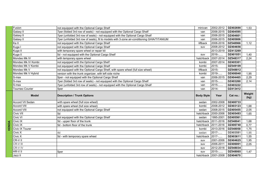| Fusion             | not equipped with the Optional Cargo Shelf                                                 | minivan           | 2002-2012                    | DZ402690 | 1,53           |
|--------------------|--------------------------------------------------------------------------------------------|-------------------|------------------------------|----------|----------------|
| Galaxy II          | 7per (folded 3rd row of seats) - not equipped with the Optional Cargo Shelf                | van               | 2006-2015                    | DZ404595 |                |
| Galaxy II          | 7per (unfolded 3rd row of seats) - not equipped with the Optional Cargo Shelf              | van               | 2006-2015                    | DZ404601 |                |
| Galaxy II          | 7per (unfolded 3rd row of seats), fit to models with 3-zone air-conditioning GHIA/TITANIUM | van               | 2006-2015                    | DZ405806 |                |
| Ka II              | not equipped with the Optional Cargo Shelf                                                 | liftback          | 2008-2016                    | DZ548966 | 1,12           |
| Kuga I             | not equipped with the Optional Cargo Shelf                                                 | suv               | 2008-2012                    | DZ404656 |                |
| Kuga II            | with temporary spare wheel or repair kit                                                   |                   | 2013-2019                    | DZ413269 |                |
| Kuga II            | 5d - not equipped with the Optional Cargo Shelf                                            | suv               | 2016-                        | DZ401051 | 1,40           |
| Mondeo Mk IV       | with temporary spare wheel                                                                 | hatchback         | 2007-2014                    | DZ548317 | 2,24           |
| Mondeo Mk IV Kombi | not equipped with the Optional Cargo Shelf                                                 | kombi             | 2007-2014                    | DZ405301 |                |
| Mondeo Mk V Kombi  | not equipped with the Optional Cargo Shelf                                                 | kombi             | 2015-                        | DZ549109 |                |
| Mondeo Mk V        | not equipped with the Optional Cargo Shelf, with spare wheel (full size wheel)             | liftback          | $2015 -$                     | DZ548812 |                |
| Mondeo Mk V Hybrid | version with the trunk organizer, with left side niche                                     | kombi             | 2019-                        | DZ406940 | 1,95           |
| S-max              | 5per - not equipped with the Optional Cargo Shelf                                          | van               | 2006-2015                    | DZ404465 | 2,29           |
| S-max              | 7per (folded 3rd row of seats) - not equipped with the Optional Cargo Shelf                | van               | 2015-                        | DZ403260 | 2,14           |
| S-max              | 7per (unfolded 3rd row of seats) - not equipped with the Optional Cargo Shelf              | van               | 2015-                        | DZ403222 |                |
| Tourneo Courier    | 5per                                                                                       | van               | 2014-                        | DZ413412 |                |
|                    |                                                                                            |                   |                              |          |                |
| <b>Model</b>       | <b>Description / Trunk Options</b>                                                         | <b>Body Style</b> | Year                         | Cat no.: | Weight<br>(kg) |
| Accord VII Sedan   | with spare wheel (full size wheel)                                                         | sedan             | 2002-2008                    | DZ400733 |                |
| <b>Accord VIII</b> | with spare wheel (full size wheel)                                                         | kombi             | 2008-2012                    | DZ403123 | 1,68           |
| Accord VIII        | not equipped with the Optional Cargo Shelf                                                 | sedan             | 2008-2015                    | DZ405455 | 2,05           |
| Civic VII          | 5d                                                                                         | hatchback         | 2000-2006                    | DZ405493 | 1,65           |
| Civic VI           | not equipped with the Optional Cargo Shelf                                                 | sedan             | 1995-2001                    | DZ405561 |                |
| Civic IX           | 5d - upper floor of the trunk                                                              | hatchback         | 2011-2016                    | DZ548041 | 1,68           |
| Civic IX           | 5d - bottom floor of the trunk                                                             |                   | hatchback 2011-2016          | DZ400740 | 0,77           |
| Civic IX Tourer    |                                                                                            | kombi             | 2013-2016                    | DZ548058 | 1,75           |
| Civic X            | l4d                                                                                        | sedan             | 2017-                        | DZ403581 | 1,95           |
| Civic X            | 5d - with temporary spare wheel                                                            | hatchback         | 2017-                        | DZ403611 | 1,55           |
| $CR-VII$           |                                                                                            | suv               | 2001-2006                    | DZ404625 | 1,95           |
| CR-V III           |                                                                                            | suv               | 2006-2011                    | DZ406001 | 2,05           |
| CR-V IV            |                                                                                            | suv               | 2012-2018                    | DZ548034 |                |
| HR-VII             | 5per                                                                                       | suv               | 2015-<br>hatchback 2001-2008 | DZ548065 | 1,47           |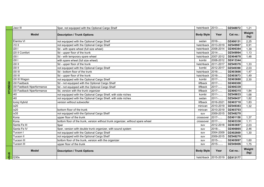|         | Jazz III                  | 5per, not equipped with the Optional Cargo Shelf                                | hatchback 2013-     |                       | DZ548072 | 1,21           |
|---------|---------------------------|---------------------------------------------------------------------------------|---------------------|-----------------------|----------|----------------|
|         | <b>Model</b>              | <b>Description / Trunk Options</b>                                              | <b>Body Style</b>   | Year                  | Cat no.: | Weight<br>(kg) |
|         | Elantra VI                | not equipped with the Optional Cargo Shelf                                      | sedan               | 2016-                 | DZ406131 | 2,25           |
|         | $\overline{110}$ II       | not equipped with the Optional Cargo Shelf                                      | hatchback           | 2013-2019             | DZ549987 | 0,91           |
|         | i201                      | 5d - with spare wheel (full size wheel)                                         | hatchback 2008-2014 |                       | DZ406384 | 1,39           |
|         | i20 II Comfort            | 5d - upper floor of the trunk                                                   | hatchback 2014-     |                       | DZ549994 | 1,13           |
|         | i30 l                     | 5d - with temporary spare wheel                                                 |                     | hatchback 2007-2012   | DZ404878 | 1,48           |
|         | i30 l                     | with spare wheel (full size wheel)                                              | kombi               | 2008-2012             | DZ413344 |                |
|         | i30 II                    | 5d - upper floor of the trunk                                                   | hatchback 2011-2017 |                       | DZ549376 | 1,33           |
|         | i30 II                    | not equipped with the Optional Cargo Shelf                                      | kombi               | 2012-2017             | DZ549390 | 2,03           |
|         | i30 III                   | 5d - bottom floor of the trunk                                                  | hatchback 2016-     |                       | DZ403666 | 1,47           |
|         | i30 III                   | 5d - upper floor of the trunk                                                   | hatchback           | 2016-                 | DZ403673 | 1,49           |
|         | i30 III Wagon             | not equipped with the Optional Cargo Shelf                                      | kombi               | 2017-                 | DZ403680 | 2,30           |
|         | i30 Fastback              | 5d - not equipped with the Optional Cargo Shelf                                 | liftback            | 2017-                 | DZ406308 |                |
|         | i30 Fastback Nperformance | 5d - not equipped with the Optional Cargo Shelf                                 | liftback            | 2017-                 | DZ406339 |                |
|         | i30 Fastback Nperformance | 5d, version with the trunk organizer                                            | liftback            | 2017-                 | DZ406315 | 1,84           |
|         | i40                       | not equipped with the Optional Cargo Shelf, with side niches                    | kombi               | 2011-                 | DZ549833 | 1,68           |
|         | i40                       | not equipped with the Optional Cargo Shelf, with side niches                    | sedan               | 2011-                 | DZ549437 | 1,82           |
|         | Ioniq Hybrid              | version without subwoofer                                                       | liftback            | 2016-2021             | DZ403710 | 1,83           |
|         | ix20                      |                                                                                 | minivan             | 2010-2019             | DZ549383 | 1,32           |
|         | ix20                      | bottom floor of the trunk                                                       | minivan             | 2010-2019             | DZ403703 |                |
|         | ix35                      | not equipped with the Optional Cargo Shelf                                      | suv                 | 2009-2015             | DZ548270 |                |
|         | Kona                      | upper floor of the trunk                                                        | crossover           | 2017-                 | DZ401150 | 1,37           |
|         | Kona                      | bottom floor of the trunk, version without trunk organizer, without spare wheel | crossover           | 2017-                 | DZ403338 | 1,11           |
|         | Santa Fe III              | 5per                                                                            | suv                 | 2012-2018             | DZ403697 | 2,03           |
|         | Santa Fe IV               | 5per, version with double trunk organizer, with sound system                    | suv                 | 2018-                 | DZ406865 | 2,46           |
|         | Tucson I                  | not equipped with the Optional Cargo Shelf                                      | suv                 | 2004-2009             | DZ402669 | 1,30           |
|         | Tucson II                 | not equipped with the Optional Cargo Shelf                                      | suv                 | 2009-2015             | DZ548270 |                |
|         | Tucson III                | bottom floor of the trunk, version with the organizer                           | suv                 | 2015-                 | DZ405097 | 1,60           |
|         | <b>Tucson III</b>         | upper floor of the trunk                                                        | suv                 | 2015-                 | DZ549406 | 1,75           |
| nfiniti | <b>Model</b>              | <b>Description / Trunk Options</b>                                              | <b>Body Style</b>   | Year                  | Cat no.: | Weight<br>(kg) |
|         | Q30s                      |                                                                                 |                     | hatchback $2015-2019$ | DZ413177 |                |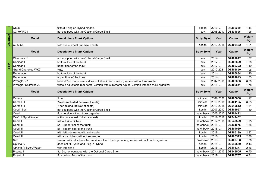|               | $\overline{\text{Q}50s}$  | fit to 3,5 engine Hybrid models                                                                | sedan                        | 2013-     | DZ406209 | 1,44           |
|---------------|---------------------------|------------------------------------------------------------------------------------------------|------------------------------|-----------|----------|----------------|
|               | QX 70/ FX II              | not equipped with the Optional Cargo Shelf                                                     | suv                          | 2008-2017 | DZ401006 | 1,96           |
| <b>JAGUAR</b> | <b>Model</b>              | <b>Description / Trunk Options</b>                                                             | <b>Body Style</b>            | Year      | Cat no.: | Weight<br>(kg) |
|               | XJ X351                   | with spare wheel (full size wheel)                                                             | sedan                        | 2010-2015 | DZ405462 | 1,51           |
|               | <b>Model</b>              | <b>Description / Trunk Options</b>                                                             | <b>Body Style</b>            | Year      | Cat no.: | Weight<br>(kg) |
|               | <b>Cherokee KL</b>        | not equipped with the Optional Cargo Shelf                                                     | suv                          | 2014-     | DZ402812 | 1,37           |
|               | Compas II                 | bottom floor of the trunk                                                                      | suv                          | 2017-     | DZ402829 | 1,20           |
| JEEP          | Compas II                 | upper floor of the trunk                                                                       | suv                          | 2017-     | DZ406322 | 1,49           |
|               | <b>Grand Cherokee WK2</b> | lwk2                                                                                           | suv                          | 2010-2021 | DZ402850 | 1,96           |
|               | Renegade                  | bottom floor of the trunk                                                                      | suv                          | 2014-     | DZ406834 | 1,40           |
|               | Renegade                  | upper floor of the trunk                                                                       | suv                          | 2014-     | DZ402843 | 1,33           |
|               | Wrangler JK               | behind 2nd row of seats, does not fit unlimited version, version without subwoofer             | suv                          | 2007-2018 | DZ402836 | 0,80           |
|               | Wrangler Unlimited JL     | without adjustable rear seats, version with subwoofer Alpine, version with the trunk organizer | suv                          | 2018-     | DZ406841 | 1,78           |
|               |                           |                                                                                                |                              |           |          |                |
|               | <b>Model</b>              | <b>Description / Trunk Options</b>                                                             | <b>Body Style</b>            | Year      | Cat no.: | Weight<br>(kg) |
|               | Carens I                  | l5 per                                                                                         | minivan                      | 2002-2006 | DZ405608 | 1,97           |
|               | Carens III                | 7seats (unfolded 3rd row of seats)                                                             | minivan                      | 2013-2018 | DZ401105 | 0.63           |
|               | Carens III                | 7 per (folded 3rd row of seats)                                                                | minivan                      | 2013-2018 | DZ549512 | 1,61           |
|               | Ceed I SW                 | not equipped with the Optional Cargo Shelf                                                     | kombi                        | 2007-2012 | DZ402997 | 1,89           |
|               | Ceed I                    | 5d - version without trunk organizer                                                           | hatchback                    | 2006-2012 | DZ404472 |                |
|               | Cee'd II Sport Wagon      | with spare wheel (full size wheel)                                                             | kombi                        | 2012-2018 | DZ549482 |                |
|               | Ceed II                   | without side niches                                                                            | hatchback                    | 2012-2018 | DZ549529 | 1,25           |
|               | Ceed III                  | 5d - upper floor of the trunk                                                                  | hatchback                    | 2018-     | DZ404076 | 1,55           |
|               | Ceed III                  | 5d - bottom floor of the trunk                                                                 | hatchback                    | 2018-     | DZ404069 |                |
|               | Ceed III                  | with left side niche, with subwoofer                                                           | kombi                        | 2018-     | DZ405189 | 2,32           |
|               | Ceed III                  | with side niches, without subwoofer                                                            | kombi                        | 2018-     | DZ406575 | 2,36           |
|               | Niro                      | version without subwoofer, version without backup battery, version without trunk organizer     | crossover                    | 2016-     | DZ400788 | 1,76           |
|               | Optima IV                 | does not fit Hybrid and Plug in Hybrid                                                         | sedan                        | 2015-     | DZ549550 | 2,13           |
|               | Optima IV Sport Wagon     | with left niche                                                                                | kombi                        | 2016      | DZ403277 | 2,66           |
|               | Picanto II                | 3d, 5d, not equipped with the Optional Cargo Shelf                                             | hatchback<br>hatchback 2017- | 2011-2017 | DZ549505 | 0,70           |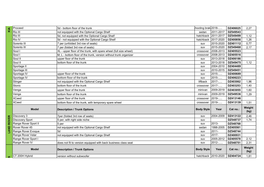| KIA               | Proceed              | 5d - bottom floor of the trunk                                    | hooting brak 2018-  |           | DZ406025 | 2,27           |
|-------------------|----------------------|-------------------------------------------------------------------|---------------------|-----------|----------|----------------|
|                   | Rio III              | not equipped with the Optional Cargo Shelf                        | sedan               | 2011-2017 | DZ549543 |                |
|                   | Rio III              | 5d, not equipped with the Optional Cargo Shelf                    | hatchback           | 2011-2017 | DZ549499 | 1,12           |
|                   | Rio IV               | 5d - not equipped with the Optional Cargo Shelf                   | hatchback           | 2017-2020 | DZ400856 | 1,26           |
|                   | Sorento III          | 7 per (unfolded 3rd row of seats)                                 | suv                 | 2015-2020 | DZ401112 | 0,77           |
|                   | Sorento III          | 7 per (folded 3rd row of seats)                                   | suv                 | 2015-2020 | DZ549468 | 2,17           |
|                   | Soul I               | XL - upper floor of the trunk, with spare wheel (full size wheel) | crossover           | 2008-2013 | DZ405523 |                |
|                   | Soul I               | M, L - bottom floor of the trunk, version without trunk organizer | crossover           | 2008-2013 | DZ405516 |                |
|                   | Soul II              | upper floor of the trunk                                          | suv                 | 2013-2018 | DZ406186 |                |
|                   | Soul II              | bottom floor of the trunk                                         | suv                 | 2013-2018 | DZ549475 | 1,12           |
|                   | Sportage II          |                                                                   | suv                 | 2004-2010 | DZ404489 |                |
|                   | Sportage III         |                                                                   | suv                 | 2010-2015 | DZ549451 |                |
|                   | Sportage IV          | upper floor of the trunk                                          | suv                 | 2015-     | DZ400689 |                |
|                   | Sportage IV          | bottom floor of the trunk                                         | suv                 | 2015-     | DZ406223 |                |
|                   | Stinger              | not equipped with the Optional Cargo Shelf                        | liftback            | 2017-     | DZ403062 | 1,96           |
|                   | Stonic               | bottom floor of the trunk                                         | crossover           | 2017-     | DZ403253 | 1,40           |
|                   | Venga                | upper floor of the trunk                                          | minivan             | 2009-2019 | DZ403055 | 1,60           |
|                   | Venga                | bottom floor of the trunk                                         | minivan             | 2009-2019 | DZ549536 | 1,29           |
|                   | <b>XCeed</b>         | upper floor of the trunk                                          | crossover           | 2019-     | DZ413146 |                |
|                   | <b>XCeed</b>         | bottom floor of the trunk, with temporary spare wheel             | crossover           | 2019-     | DZ413139 | 1,51           |
|                   | <b>Model</b>         | <b>Description / Trunk Options</b>                                | <b>Body Style</b>   | Year      | Cat no.: | Weight<br>(kg) |
|                   | Discovery 3          | 7per (folded 3rd row of seats)                                    | suv                 | 2004-2009 | DZ413122 | 2,46           |
| <b>LAND ROVER</b> | Discovery Sport      | 5 per, with right side niche                                      | suv                 |           | DZ548737 | 1,74           |
|                   | Range Rover Sport II | 5 per                                                             | suv                 | 2013-     | DZ548768 |                |
|                   | Rover Rover 45       | not equipped with the Optional Cargo Shelf                        | sedan               | 1998-2005 | DZ405561 |                |
|                   | Range Rover Evoque   | l5d                                                               | suv                 | $2011 -$  | DZ548744 |                |
|                   | Range Rover Velar    | not equipped with the Optional Cargo Shelf                        | suv                 | 2017-     | DZ400931 |                |
|                   | Range Rover Sport I  |                                                                   | suv                 | 2005-2012 | DZ405578 | 2,12           |
|                   | Range Rover IV       | does not fit to version equipped with back business class seat    | suv                 | 2012-     | DZ548751 | 2,31           |
|                   | <b>Model</b>         | <b>Description / Trunk Options</b>                                | <b>Body Style</b>   | Year      | Cat no.: | Weight<br>(kg) |
| ഗ                 | CT 200H Hybrid       | version without subwoofer                                         | hatchback 2010-2020 |           | DZ404724 | 1,81           |
|                   |                      |                                                                   |                     |           |          |                |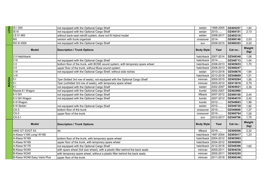| LEXU         | IS I 200                     | not equipped with the Optional Cargo Shelf                                      | sedan             | 1998-2005          | DZ405257 | 1,84           |
|--------------|------------------------------|---------------------------------------------------------------------------------|-------------------|--------------------|----------|----------------|
|              | $IS$ $III$                   | not equipped with the Optional Cargo Shelf                                      | sedan             | 2013-              | DZ404151 | 2,13           |
|              | <b>LS IV 460</b>             | without back-seat retrofit system, does not fit Hybrid model                    | sedan             | 2006-2017          | DZ405318 |                |
|              | <b>NX</b>                    | version with trunk organizer                                                    | crossover         | 2014-              | DZ406148 | 2,03           |
|              | <b>RX III 450h</b>           | not equipped with the Optional Cargo Shelf                                      | suv               | 2008-2015          | DZ406353 | 2,22           |
|              | <b>Model</b>                 | <b>Description / Trunk Options</b>                                              | <b>Body Style</b> | Year               | Cat no.: | Weight<br>(kg) |
|              | 2 II Hatchback               |                                                                                 | hatchback         | 2007-2014          | DZ548348 | 1,06           |
|              | $2$ III                      | not equipped with the Optional Cargo Shelf                                      | hatchback         | 2014-              | DZ548713 | 1,04           |
|              | 3 <sub>II</sub>              | bottom floor of the trunk, with BOSE sound system, with temporary spare wheel   | hatchback         | 2008-2013          | DZ405653 | 1,70           |
|              | 3 <sub>II</sub>              | upper floor of the trunk, without Bose sound system                             | hatchback         | 2008-2013          | DZ406247 |                |
|              | $3$ III                      | not equipped with the Optional Cargo Shelf, without side niches                 | sedan             | 2013-2018          | DZ548676 | 1,64           |
|              | $3$ III                      |                                                                                 | hatchback         | 2013-2018          | DZ548669 | 1,51           |
| <b>MAZDA</b> | $\overline{5}$               | 7per (folded 3rd row of seats), not equipped with the Optional Cargo Shelf      | minivan           | 2005-2010          | DZ405264 | 1,95           |
|              | $\overline{51}$              | 7per (unfolded 3rd row of seats), with temporary spare wheel                    | minivan           | 2005-2010          | DZ413016 | 0,79           |
|              | 61                           | not equipped with the Optional Cargo Shelf                                      | sedan             | 2002-2007          | DZ404021 | 2,39           |
|              | Mazda 6 I Wagon              | not equipped with the Optional Cargo Shelf                                      | kombi             | 2002-2007          | DZ402980 |                |
|              | $6$ II GH                    | not equipped with the Optional Cargo Shelf                                      | liftback          | 2007-2012          | DZ406100 | 2,44           |
|              | 6 II GH Wagon                | not equipped with the Optional Cargo Shelf                                      | kombi             | 2007-2012          | DZ404519 | 2,42           |
|              | 6 III Wagon                  |                                                                                 | kombi             | 2012-              | DZ548683 | 1,96           |
|              | 6 III Sedan                  | not equipped with the Optional Cargo Shelf                                      | sedan             | 2012-              | DZ548720 | 1,82           |
|              | $CX-3$                       | bottom floor of the trunk                                                       | crossover         | 2015-              | DZ548690 | 1,27           |
|              | $CX-3$                       | upper floor of the trunk                                                        | crossover         | 2015-              | DZ400764 | 1,05           |
|              | $CX-51$                      |                                                                                 | suv               | 2012-2017          | DZ548706 | 1,75           |
|              | <b>Model</b>                 | <b>Description / Trunk Options</b>                                              | <b>Body Style</b> | Year               | Cat no.: | Weight<br>(kg) |
|              | AMG GT 53/GT 63              | 4d                                                                              | liftback          | 2019-              | DZ406506 | 2,32           |
|              | A-Klasa V168 Long/W168       |                                                                                 | hatchback         | 1997-2004          | DZ405417 | 1,23           |
|              | A-Klasa W169                 | bottom floor of the trunk, with temporary spare wheel                           | hatchback         | 2004-2012          | DZ403963 |                |
|              | A-Klasa W169                 | upper floor of the trunk, with temporary spare wheel                            | hatchback         | 2004-2012          | DZ406988 |                |
|              | A-Klasa W176                 | not equipped with the Optional Cargo Shelf                                      | hatchback         | 2012-2018          | DZ548386 | 1,62           |
|              | B-Klasa W245                 | with spare wheel (full size wheel), with a plastic filler behind the back seats | minivan           | 2005-2011          | DZ404236 |                |
|              | B-Klasa W245                 | with temporary spare wheel, without a plastic filler behind the back seats      | minivan           | 2005-2011          | DZ405295 |                |
|              | B-Klasa W246 Easy Vario Plus | upper floor of the trunk                                                        | minivan           | 2011-2018 DZ406346 |          |                |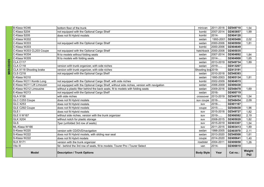| <b>Model</b>               | <b>Description / Trunk Options</b>                                                       | <b>Body Style</b>  | Year      | Cat no.: | Weight<br>(kg) |
|----------------------------|------------------------------------------------------------------------------------------|--------------------|-----------|----------|----------------|
| Vito III                   | 5d - behind the 3rd row of seats, fit to models: Tourer Pro i Tourer Select              | van                | 2014-     | DZ406810 |                |
| SLK R171                   | version with the trunk organizer                                                         | roadster           | 2004-2011 | DZ406858 | 1,26           |
| S-Klasa W222               | does not fit Hybrit models                                                               | coupe              | 2014-2020 | DZ400641 | 1,40           |
| S-Klasa W222               | does not fit Hybrid models, with sliding rear seat                                       | sedan              | 2013-2020 | DZ548508 | 1,61           |
| S-Klasa W220               | version with CD/DVD/navigation                                                           | sedan              | 1998-2005 | DZ403970 | 2,11           |
| ML-Klasa W166              |                                                                                          | suv                | 2011-2015 | DZ403413 | 1,89           |
| <b>GLS</b>                 | 7per (unfolded 3rd row of seats)                                                         | suv                | 2015-2019 | DZ403307 | 1,54           |
| GLK X204                   | without notch for plastic storage                                                        | suv                | 2008-2015 | DZ405028 | 1,82           |
| <b>GLE II W167</b>         | without side niches, version with the trunk organizer                                    | suv                | 2019-     | DZ406582 | 2,19           |
| GLEI                       | does not fit Hybrid models                                                               | suv                | 2015-2018 | DZ549727 | 1,82           |
| GLE C292 Coupe             | does not fit Hybrid models                                                               | coupe              | 2015-     | DZ548430 | 1,96           |
| GLC X253                   | does not fit Hybrid models                                                               | suv                | 2016-     | DZ401167 |                |
| GLC C253 Coupe             | does not fit Hybrid models                                                               | suv coupe          | 2016-     | DZ548454 | 2,09           |
| GLA X156                   | with side niches                                                                         | crossover          | 2013-2019 | DZ549703 | 1,54           |
| E-Klasa W213               | not equipped with the Optional Cargo Shelf                                               | sedan              | 2016-     | DZ400719 |                |
| E-Klasa W212 Limousine     | without a plastic filler behind the back seats, fit to models with folding seats         | sedan              | 2009-2016 | DZ548478 | 1,69           |
| E-Klasa W211 Lift Limousin | not equipped with the Optional Cargo Shelf, without side niches, version with navigation | sedan              | 2006-2009 | DZ406438 |                |
| E-Klasa W211 Kombi Long    | not equipped with the Optional Cargo Shelf, with side niches                             | kombi              | 2002-2009 | DZ404915 |                |
| E-Klasa W210               |                                                                                          | sedan              | 1995-2003 | DZ405134 | 1,81           |
| <b>CLS C218</b>            | not equipped with the Optional Cargo Shelf                                               | sedan              | 2010-2018 | DZ548393 |                |
| CLA X118 Shooting brake    | version with trunk organizer, with side niches                                           | Shooting bra 2019- |           | DZ413191 |                |
| CLA C118                   | version with trunk organizer, with side niches                                           | sedan              | 2019-     | DZ413207 |                |
| CLA C117                   |                                                                                          | sedan              | 2013-2019 | DZ549734 | 1,89           |
| C-Klasa W205               | fit to models with folding seats                                                         | sedan              | 2014-     | DZ404908 | 1,65           |
| C-Klasa W204               | fit to models without folding seats                                                      | sedan              | 2007-2014 | DZ404892 | 1,84           |
| C-Klasa W203 CL203 Coupe   | not equipped with the Optional Cargo Shelf                                               | hatchback          | 2000-2008 | DZ405035 |                |
| C-Klasa W203               |                                                                                          | kombi              | 2000-2006 | DZ404649 |                |
| C-Klasa W203               | not equipped with the Optional Cargo Shelf                                               | sedan              | 2000-2006 | DZ405950 | 1,81           |
| C-Klasa W202               |                                                                                          | sedan              | 1993-2001 | DZ405486 | 2,02           |
| C-Klasa S205               | does not fit Hybrid models                                                               | kombi              | 2014-     | DZ404120 |                |
| C-Klasa S204               | not equipped with the Optional Cargo Shelf                                               | kombi              | 2007-2014 | DZ403857 | 1,99           |
| B-Klasa W246               | bottom floor of the trunk                                                                | minivan            | 2011-2018 | DZ549710 | 1,54           |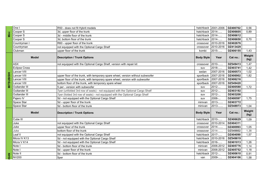|                   | One I                | R50 - does not fit Hybrit models                                                |                   | hatchback $2001-2006$ | DZ400702 | 0,56           |
|-------------------|----------------------|---------------------------------------------------------------------------------|-------------------|-----------------------|----------|----------------|
|                   | Cooper S             | 3d, upper floor of the trunk                                                    | hatchback         | 2014-                 | DZ406605 | 0,89           |
| Mini              | Cooper S             | 3d - middle floor of the trunk                                                  | hatchback         | 2014-                 | DZ406612 |                |
|                   | Cooper S             | 3d, bottom floor of the trunk                                                   | hatchback         | 2014-                 | DZ406650 | 0,70           |
|                   | Countryman I         | R60 - upper floor of the trunk                                                  | crossover         | 2010-2016             | DZ402676 |                |
|                   | Countryman           | not equipped with the Optional Cargo Shelf                                      | crossover         | 2010-2016             | DZ413429 |                |
|                   | Clubman              | upper floor of the trunk                                                        | kombi             | 2015-                 | DZ406155 | 1,43           |
|                   | <b>Model</b>         | <b>Description / Trunk Options</b>                                              | <b>Body Style</b> | Year                  | Cat no.: | Weight<br>(kg) |
|                   | <b>ASX</b>           | not equipped with the Optional Cargo Shelf, version with repair kit             | crossover         | 2010-                 | DZ549413 | 1,47           |
|                   | <b>Eclipse Cross</b> |                                                                                 | suv               | 2018-                 | DZ403741 | 1,42           |
|                   | Lancer VIII          |                                                                                 | sedan             | 2007-2016             | DZ400573 | 1,02           |
| <b>MITSUBISHI</b> | Lancer VIII          | upper floor of the trunk, with temporary spare wheel, version without subwoofer | sportback         | 2007-2016             | DZ406902 | 1,82           |
|                   | Lancer VIII          | upper floor of the trunk, with temporary spare wheel, version with subwoofer    | sportback         | 2007-2016             | DZ406216 |                |
|                   | Lancer VIII          | bottom floor of the trunk, with temporary spare wheel                           | sportback         | 2007-2016             | DZ549420 |                |
|                   | Outlander III        | 5 per - version with subwoofer                                                  | suv               | 2012-                 | DZ400580 | 1,72           |
|                   | Outlander III        | 7per (unfolded 3rd row of seats) - not equipped with the Optional Cargo Shelf   | suv               | 2012-                 | DZ403192 |                |
|                   | Outlander III        | 7per (folded 3rd row of seats) - not equipped with the Optional Cargo Shelf     | suv               | 2012-                 | DZ403208 |                |
|                   | Pajero IV            | 5d - not equipped with the Optional Cargo Shelf                                 | suv               | 2006-                 | DZ400597 | 1,75           |
|                   | Space Star           | 5d - upper floor of the trunk                                                   | minivan           | 2013-                 | DZ403772 |                |
|                   | Space Star           | 5d - bottom floor of the trunk                                                  | minivan           | 2013-                 | DZ548973 | 1,04           |
|                   | <b>Model</b>         | <b>Description / Trunk Options</b>                                              | <b>Body Style</b> | Year                  | Cat no.: | Weight<br>(kg) |
|                   | Cube III             |                                                                                 | hatchback         | 2010-                 | DZ406629 | 1,09           |
|                   | Juke                 | not equipped with the Optional Cargo Shelf                                      | crossover         | 2010-2014             | DZ404311 |                |
|                   | Juke                 | upper floor of the trunk                                                        | crossover         | 2014-                 | DZ400993 | 1,05           |
|                   | Juke                 | bottom floor of the trunk                                                       | crossover         | 2014-                 | DZ549802 | 1,38           |
|                   | Leaf II              | not equipped with the Optional Cargo Shelf                                      | hatchback         | 2017-                 | DZ404090 | 1,57           |
|                   | Micra IV K13         | 5d - not equipped with the Optional Cargo Shelf                                 | hatchback         | 2010-2016             | DZ549819 |                |
|                   | Micra V K14          | 5d - not equipped with the Optional Cargo Shelf                                 | hatchback         | 2016-                 | DZ401013 | 1,26           |
|                   | Note I               | 5d - bottom floor of the trunk                                                  | minivan           | 2006-2012             | DZ405776 | 1,14           |
|                   | Note I               | 5d - upper floor of the trunk                                                   | minivan           | 2006-2012             | DZ405752 | 1,18           |
|                   | Note II              | 5d - bottom floor of the trunk                                                  | hatchback         | 2012-                 | DZ400610 | 0,91           |
| SAN               | <b>NV200</b>         | 5per                                                                            | van               | 2009-                 | DZ404106 | 1,58           |
|                   |                      |                                                                                 |                   |                       |          |                |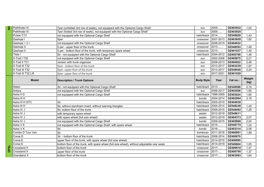| Ξ | Pathfinder III             | 7per (unfolded 3rd row of seats), not equipped with the Optional Cargo Shelf                 | suv               | 2005-               | DZ403932             | 1,02           |
|---|----------------------------|----------------------------------------------------------------------------------------------|-------------------|---------------------|----------------------|----------------|
|   | Pathfinder III             | 7per (folded 3rd row of seats), not equipped with the Optional Cargo Shelf                   | suv               | 2005-               | DZ403925             |                |
|   | Pulsar C13                 | not equipped with the Optional Cargo Shelf                                                   | hatchback         | 2014-               | DZ549826             | 1,43           |
|   | Qashqai I                  | 5per                                                                                         | crossover         | 2007-2013           | DZ403659             | 1,82           |
|   | Qashqai + 2 I              | not equipped with the Optional Cargo Shelf                                                   | crossover         | 2008-2015           | DZ404632             |                |
|   | Qashqai II                 | 5 per - upper floor of the trunk                                                             | crossover         | 2013-               | DZ548553             | 1,48           |
|   | Qashqai II                 | 5 per - bottom floor of the trunk, with temporary spare wheel                                | crossover         | 2013-               | DZ401037             | 1,40           |
|   | Tiida I                    | 5d - not equipped with the Optional Cargo Shelf                                              | hatchback         | 2004-2012           | DZ405790             | 1,48           |
|   | X-Trail I T30              | not equipped with the Optional Cargo Shelf                                                   | suv               | 2002-2008           | DZ405875             | 2,21           |
|   | X-Trail II T31             | version with trunk organizer                                                                 | suv               | 2008-2013           | DZ404922             | 2,46           |
|   | X-Trail III T32            | 5per - bottom floor of the trunk                                                             | suv               | 2013-2017           | DZ403239             | 1,87           |
|   | X-Trail III T32            | 5per- upper floor of the trunk                                                               | suv               | 2013-2017           | DZ548546             | 2,24           |
|   | X-Trail III T32 Lift       | 5per- upper floor of the trunk                                                               | suv               | 2017-2021           | DZ401020             |                |
|   | <b>Model</b>               | <b>Description / Trunk Options</b>                                                           | <b>Body Style</b> | Year                | Cat no.:             | Weight<br>(kg) |
|   | Adam                       | 3d - not equipped with the Optional Cargo Shelf                                              | hatchback         | 2013-               | DZ549598             | 0,74           |
|   | Antara                     | not equipped with the Optional Cargo Shelf                                                   | suv               | 2006-2017           | DZ403956             | 1,65           |
|   | Astra II G                 | not equipped with the Optional Cargo Shelf                                                   | hatchback         | 1998-2009           | DZ403024             | 1,60           |
|   | Astra III H                |                                                                                              | kombi             | 2004-2014           | DZ402904             | 2,18           |
|   | Astra III H GTC            | 3d                                                                                           | hatchback         | 2005-2010           | DZ404038             |                |
|   | Astra III H                | 5d, without styrofoam insert, without warning triangles                                      | hatchback         | 2004-2014           | DZ548249             | 1,40           |
|   | Astra IV J                 | 5d, bottom floor of the trunk                                                                |                   | hatchback 2009-2015 | DZ548492             | 1,26           |
|   | Astra IV J                 | with temporary spare wheel                                                                   | sedan             | 2012-2019           | DZ549611             |                |
|   | Astra IV J                 | with spare wheel (full size wheel)                                                           | sedan             | 2012-2019           | DZ404373             | 2,07           |
|   | Astra IV J                 | not equipped with the Optional Cargo Shelf                                                   | kombi             | 2009-2015           | DZ405868             | 2,04           |
|   | Astra V K                  | not equipped with the Optional Cargo Shelf, with spare wheel                                 | hatchback         | 2015-               | DZ548775             | 1,22           |
|   | Astra V K                  | 5d                                                                                           | kombi             | 2016-               | DZ403314             | 2,08           |
|   | Combo D Tour Van           | 5d                                                                                           | kombivan          | 2011-2018           | DZ400801             | 1,89           |
|   | Corsa D                    | 3d - bottom floor of the trunk                                                               | hatchback         | 2006-2014           | DZ400870             |                |
|   | Corsa E                    | upper floor of the trunk, with spare wheel (full size wheel)                                 | hatchback         | 2014-2019           | DZ406995             |                |
|   | Corsa E                    | bottom floor of the trunk, with spare wheel (full size wheel), without adjustable rear seats | hatchback         | 2014-2019           | DZ549604             | 1,05           |
| 画 | Crossland X                | bottom floor of the trunk                                                                    | crossover         | 2017-               | DZ400818             | 1,47           |
|   |                            |                                                                                              |                   |                     |                      |                |
| 용 | Crossland X<br>Grandland X | upper floor of the trunk<br>bottom floor of the trunk                                        | crossover         | 2017-<br>2017-      | DZ400795<br>DZ403093 | 1,37<br>1,64   |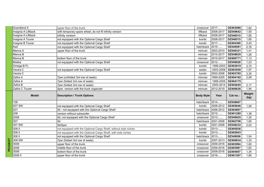| <b>Grandland X</b>  | upper floor of the trunk                                        | crossover         | 2017-     | DZ403086 | 1.82           |
|---------------------|-----------------------------------------------------------------|-------------------|-----------|----------|----------------|
| Insignia A Liftback | with temporary spare wheel, do not fit infinity version         | liftback          | 2008-2017 | DZ549642 | 1,50           |
| Insignia A Liftback | infinity versiom                                                | liftback          | 2008-2017 | DZ548515 | 1,85           |
| Insignia A Tourer   | not equipped with the Optional Cargo Shelf                      | kombi             | 2008-2017 | DZ548515 | 1,85           |
| Insignia B Tourer   | not equipped with the Optional Cargo Shelf                      | kombi             | 2017-     | DZ404380 | 2,43           |
| Karl                | not equipped with the Optional Cargo Shelf                      | hatchback         | 2015-     | DZ549581 | 0,78           |
| Meriva A            | upper floor of the trunk                                        | minivan           | 2003-2010 | DZ548331 | 1,41           |
| Meriva B            |                                                                 | minivan           | 2010-2017 | DZ549635 | 1,26           |
| Meriva B            | bottom floor of the trunk                                       | minivan           | 2010-2017 | DZ400771 | 1,13           |
| Mokka               | not equipped with the Optional Cargo Shelf                      | crossover         | 2012-     | DZ549628 | 1,23           |
| Omega B FL          |                                                                 | kombi             | 1999-2003 | DZ403819 | 2,70           |
| Vectra C            | not equipped with the Optional Cargo Shelf                      | sedan             | 2003-2008 | DZ403550 | 1,97           |
| Vectra C            |                                                                 | kombi             | 2002-2008 | DZ403765 | 2,35           |
| Zafira A            | 7per (unfolded 3rd row of seats)                                | minivan           | 1999-2005 | DZ404182 | 2,08           |
| Zafira A            | 7per (folded 3rd row of seats)                                  | minivan           | 1999-2005 | DZ404175 |                |
| Zafira B            | 7per (folded 3rd row of seats)                                  | minivan           | 2005-2014 | DZ402645 | 2,17           |
| Zafira C Tourer     | 5per, version with the trunk organizer                          | minivan           | 2012-2019 | DZ406636 | 1,94           |
|                     |                                                                 |                   |           |          |                |
| <b>Model</b>        | <b>Description / Trunk Options</b>                              | <b>Body Style</b> | Year      | Cat no.: | Weight<br>(kg) |
| 108                 |                                                                 | hatchback         | 2014-     | DZ548607 |                |
| 207 SW              | not equipped with the Optional Cargo Shelf                      | kombi             | 2006-2012 | DZ405646 | 1,59           |
| 207                 | 5d - not equipped with the Optional Cargo Shelf                 | hatchback         | 2006-2012 | DZ404687 |                |
| 208                 | version without subwoofer                                       | hatchback         | 2012-     | DZ401280 | 1,39           |
| 2008                | 5d, not equipped with the Optional Cargo Shelf                  | crossover         | 2013-     | DZ549925 | 1,32           |
| 307                 | 5d                                                              | hatchback         | 2001-2008 | DZ402706 | 1,60           |
| 307 SW              | 5d/5per                                                         | kombi             | 2001-2008 | DZ548232 | 2,03           |
| 308 II              | not equipped with the Optional Cargo Shelf, without side niches | kombi             | 2013-     | DZ405936 |                |
| 308 II              | not equipped with the Optional Cargo Shelf, with side niches    | kombi             | 2013-     | DZ405943 |                |
| 308 II              | not equipped with the Optional Cargo Shelf                      | hatchback         | 2013-     | DZ549956 | 1,54           |
| 308 SW              | 7per (folded 3rd row of seats)                                  | kombi             | 2007-2013 | DZ400634 | 1,33           |
| 3008                | upper floor of the trunk                                        | crossover         | 2009-2016 | DZ403994 | 1,60           |
| 3008                | middle floor of the trunk                                       | crossover         | 2009-2016 | DZ403987 | 1,62           |
| 3008                | bottom floor of the trunk<br>upper floor of the trunk           | crossover         | 2009-2016 | DZ404007 | 1,34           |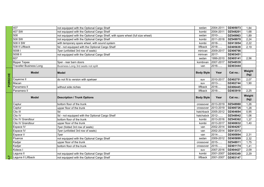|   | 407                            | not equipped with the Optional Cargo Shelf                                     | sedan             | 2004-2011 | DZ405073 | 1,84           |
|---|--------------------------------|--------------------------------------------------------------------------------|-------------------|-----------|----------|----------------|
|   | 407 SW                         | not equipped with the Optional Cargo Shelf                                     | kombi             | 2004-2011 | DZ548201 | 1,68           |
|   | 508                            | not equipped with the Optional Cargo Shelf, with spare wheel (full size wheel) | sedan             | 2010-     | DZ549963 | 1,89           |
|   | 508 SW                         | not equipped with the Optional Cargo Shelf                                     | kombi             | 2011-2018 | DZ549970 | 2,24           |
|   | 508 II SW                      | with temporary spare wheel, with sound system                                  | kombi             | 2018-     | DZ413054 | 2,22           |
|   | 508 II Liftback                | 5d - not equipped with the Optional Cargo Shelf                                | liftback          | 2018-     | DZ405639 | 2,19           |
|   | 5008 l                         | 7per (unfolded 3rd row of seats)                                               | minivan           | 2009-2017 | DZ406766 |                |
|   | 5008 II                        | not equipped with the Optional Cargo Shelf                                     | minivan           | 2017-     | DZ403451 |                |
|   | 607                            |                                                                                | sedan             | 1999-2010 | DZ405141 | 2,56           |
|   | <b>Bipper Tepee</b>            | 15per - rear barn doors                                                        | kombivan          | 2007-2017 | DZ548539 |                |
|   | <b>Traveller Business Long</b> | Business Long 3rd seats not split                                              | van               | 2016-     | DZ403444 |                |
| ᅗ | <b>Model</b>                   | Model                                                                          | <b>Body Style</b> | Year      | Cat no.: | Weight<br>(kg) |
|   | Cayenne II                     | do not fit to version with spekaer                                             | suv               | 2010-2017 | DZ402751 | 2,07           |
|   | Macan                          |                                                                                | suv               | 2013-     | DZ402744 | 1,90           |
|   | Panamera II                    | without side niches                                                            | liftback          | 2016-     | DZ406445 |                |
|   | Panamera II                    |                                                                                | liftback          | 2016-     | DZ403918 | 2,25           |
|   | <b>Model</b>                   | <b>Description / Trunk Options</b>                                             | <b>Body Style</b> | Year      | Cat no.: | Weight<br>(kg) |
|   |                                |                                                                                |                   |           |          |                |
|   | Captur                         | bottom floor of the trunk                                                      | crossover         | 2013-2019 | DZ548980 | 1,26           |
|   | Captur                         | upper floor of the trunk                                                       | crossover         | 2013-2019 | DZ400726 | 1,28           |
|   | Clio III                       | 5d                                                                             | hatchback         | 2005-2012 | DZ404694 | 0,95           |
|   | Clio IV                        | 5d - not equipped with the Optional Cargo Shelf                                | hatchabck         | 2012-     | DZ548942 | 1,06           |
|   | Clio IV Grandtour              | bottom floor of the trunk                                                      | kombi             | 2013-2016 | DZ548362 | 1,37           |
|   | Clio IV Grandtour              | upper floor of the trunk                                                       | kombi             | 2013-2017 | DZ400832 | 1,40           |
|   | Espace IV                      | 7per (folded 3rd row of seats)                                                 | van               | 2002-2014 | DZ404267 |                |
|   | Espace IV                      | 7per (unfolded 3rd row of seats)                                               | van               | 2002-2014 | DZ413313 |                |
|   | Espace V                       | 7per                                                                           | van               | 2014-     | DZ400894 | 2,31           |
|   | Fluence                        | not equipped with the Optional Cargo Shelf                                     | sedan             | 2009-2012 | DZ405899 | 2,32           |
|   | Kadjar                         | upper floor of the trunk                                                       | crossover         | 2015-     | DZ548911 | 1,75           |
|   | Kadjar                         | bottom floor of the trunk                                                      | crossover         | 2015-     | DZ401174 | 1,41           |
|   | Koleos I                       |                                                                                | suv               | 2007-2016 | DZ404427 | 2,09           |
|   | Laguna II                      | not equipped with the Optional Cargo Shelf                                     | kombi             | 2001-2007 | DZ405349 | 2,29           |
|   | Laguna II Liftback             | not equipped with the Optional Cargo Shelf                                     | liftback          | 2001-2007 | DZ403147 |                |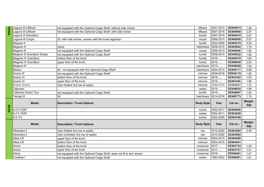|   | Laguna III Liftback         | not equipped with the Optional Cargo Shelf, without side niches         | liftback          | 2007-2015 | DZ405974 | 1,46           |
|---|-----------------------------|-------------------------------------------------------------------------|-------------------|-----------|----------|----------------|
| w | Laguna III Liftback         | not equipped with the Optional Cargo Shelf, with side niches            | liftback          | 2007-2015 | DZ405998 | 2,07           |
|   | Laguna III Grandtour        |                                                                         | kombi             | 2007-2015 | DZ404410 | 2,07           |
|   | Laguna III Coupe            | 2d, with side niches, version with the trunk organizer                  | coupe             | 2008-2015 | DZ406599 | 2,07           |
|   | Megane II                   |                                                                         | kombi             | 2003-2009 | DZ405219 | 2,25           |
|   | Megane III                  | 3d/5d                                                                   | hatchback         | 2008-2015 | DZ403642 | 1,79           |
|   | Megane III                  | not equipped with the Optional Cargo Shelf                              | coupe             | 2008-2015 | DZ400948 | 1,82           |
|   | Megane III Grandtour Estate | not equipped with the Optional Cargo Shelf                              | kombi             | 2008-2015 | DZ548522 | 1,82           |
|   | Megane IV Grandtour         | bottom floor of the trunk                                               | kombi             | 2016-     | DZ548379 | 1,82           |
|   | Megane IV Grandtour         | upper floor of the trunk                                                | kombi             | 2016-     | DZ400849 | 2,03           |
|   | Megane IV                   |                                                                         | hatchback         | 2015-     | DZ548928 | 1,54           |
|   | Modus                       | 5d - not equipped with the Optional Cargo Shelf                         | hatchback         | 2004-2012 | DZ406117 | 0,89           |
|   | Scenic III                  | not equipped with the Optional Cargo Shelf                              | minivan           | 2009-2016 | DZ548119 | 1,82           |
|   | Scenic IV                   | bottom floor of the trunk                                               | minivan           | 2016-     | DZ403352 | 1,53           |
|   | Scenic IV                   | upper floor of the trunk                                                | minivan           | 2016-     | DZ403345 | 1,66           |
|   | Scenic Grand                | 7per (folded 3rd row of seats)                                          | minivan           | 2009-2016 | DZ402621 | 1,72           |
|   | Talisman                    |                                                                         | sedan             | 2015-     | DZ548935 | 1,86           |
|   | <b>Talisman Grand Tour</b>  | not equipped with the Optional Cargo Shelf                              | kombi             | 2015-     | DZ548997 | 1,93           |
|   | Twingo III                  | 5d                                                                      | hatchback         | 2014-2018 | DZ406773 | 1,19           |
|   | <b>Model</b>                | <b>Description / Trunk Options</b>                                      | <b>Body Style</b> | Year      | Cat no.: | Weight<br>(kg) |
|   | 9-3 II YS3F                 |                                                                         | kombi             | 2002-2011 | DZ404946 |                |
|   | 9-3 II YS3F                 |                                                                         | sedan             | 2002-2011 | DZ404526 |                |
|   | 9-5 I FL                    |                                                                         | kombi             | 2005-2009 | DZ404168 |                |
|   | <b>Model</b>                | <b>Description / Trunk Options</b>                                      | <b>Body Style</b> | Year      | Cat no.: | Weight<br>(kg) |
|   | Alhambra II                 | 7per (folded 3rd row of seats)                                          | van               | 2010-2020 | DZ403284 | 2,49           |
|   | Alhambra II                 | 7per (unfolded 3rd row of seats)                                        | van               | 2010-2020 | DZ403802 |                |
|   | Altea Lift                  | upper floor of the trunk                                                | minivan           | 2004-2015 | DZ404458 |                |
|   | Altea Lift                  | bottom floor of the trunk                                               | minivan           | 2004-2015 | DZ404441 |                |
|   | Arona                       | bottom floor of the trunk                                               | crossover         | 2017-     | DZ403734 | 1,00           |
|   | Arona                       | upper floor of the trunk                                                | crossover         | 2017-     | DZ403727 | 1,41           |
|   |                             |                                                                         |                   |           |          |                |
|   | Ateca                       | not equipped with the Optional Cargo Shelf, does not fit to 4x4 version | crossover         | 2016-     | DZ548461 | 1,47           |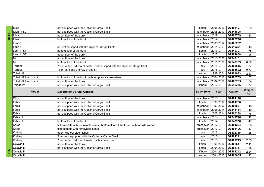|   | Exeo                 | not equipped with the Optional Cargo Shelf                                          | kombi               | 2008-2013              | DZ405127             | 1,89           |
|---|----------------------|-------------------------------------------------------------------------------------|---------------------|------------------------|----------------------|----------------|
|   | Ibiza IV SC          | not equipped with the Optional Cargo Shelf                                          | hatchback           | 2008-2017              | DZ548805             |                |
|   | Ibiza V              | upper floor of the trunk                                                            | hatchback 2017-     |                        | DZ403789             | 1,13           |
| ഗ | Ibiza V              | bottom floor of the trunk                                                           | hatchback $ 2017$ - |                        | DZ403796             |                |
|   | Leon II              |                                                                                     |                     | hatchback 2005-2012    | DZ405202             |                |
|   | Leon III             | 5d, not equipped with the Optional Cargo Shelf                                      | hatchback 2014-     |                        | DZ549291             | 1,13           |
|   | Leon III ST          | bottom floor of the trunk                                                           | kombi               | 2013-                  | DZ549307             | 1,75           |
|   | Leon III ST          | upper floor of the trunk                                                            | kombi               | 2013-                  | DZ401068             | 1,96           |
|   | Mii                  | upper floor of the trunk                                                            | hatchback           | 2011-2020              | DZ549161             |                |
|   | Mii                  | bottom floor of the trunk                                                           | hatchback           | 2011-2020              | DZ549789             | 0,92           |
|   | Tarraco              | 7per (folded 3rd row of seats), not equipped with the Optional Cargo Shelf          | suv                 | 2018-                  | DZ405615             | 1,87           |
|   | Tarraco              | 7per (unfolded 3rd row of seats)                                                    | suv                 | 2018-                  | DZ405622             | 0,77           |
|   | Toledo II            |                                                                                     | sedan               | 1998-2004              | DZ404083             | 2,23           |
|   | Toledo III Hatchback | bottom floor of the trunk, with temporary spare wheel                               | hatchback           | 2004-2010              | DZ406759             | 1,72           |
|   | Toledo III Hatchback | upper floor of the trunk                                                            |                     | hatchback 2004-2010    | DZ406735             | 1,74           |
|   | Toledo IV            | not equipped with the Optional Cargo Shelf                                          | liftback            | 2012-                  | DZ548355             | 1,77           |
|   | <b>Model</b>         | <b>Description / Trunk Options</b>                                                  | <b>Body Style</b>   | Year                   | Cat no.:             | Weight<br>(kg) |
|   | Citigo               | upper floor of the trunk                                                            | hatchback 2011-     |                        | DZ401198             |                |
|   | Fabia I              | not equipped with the Optional Cargo Shelf                                          | kombi               | 1999-2007              | DZ404700             |                |
|   | Fabia I              | not equipped with the Optional Cargo Shelf                                          | hatchback           | 1999-2007              | DZ403567             | 1,16           |
|   | Fabia II             | not equipped with the Optional Cargo Shelf                                          |                     | hatchback 2006-2014    | DZ548164             | 1,19           |
|   | Fabia II             | not equipped with the Optional Cargo Shelf                                          | kombi               | 2006-2014              | DZ405288             | 1,76           |
|   | Fabia III            |                                                                                     | hatchback           | 2014-                  | DZ549796             | 1,12           |
|   | Fabia III            | bottom floor of the trunk                                                           | kombi               | 2014-                  | DZ549758             | 1,47           |
|   | Karoq                | fit to models with removable seats - bottom floor of the trunk, without side niches | crossover           | 2017-                  | DZ401204             | 1,66           |
|   | Karoq                | fit to models with removable seats                                                  | crossover           | 2017-                  | DZ403406             | 1,47           |
|   | Kodiag               | 5per - without side niches                                                          | suv                 | 2016-                  | DZ402720             | 1,25           |
|   | Kodiag               | 5per - not equipped with the Optional Cargo Shelf                                   | suv                 | 2016-                  | DZ401211             |                |
|   | Kodiaq               | 7per (folded 3rd row of seats), with side niches                                    | suv                 | 2016-                  | DZ402713             | 2,35           |
|   | Octavia I            | upper floor of the trunk                                                            | kombi               | 1996-2010              | DZ405547             | 2,11           |
|   |                      |                                                                                     |                     |                        |                      |                |
|   | Octavia II           | not equipped with the Optional Cargo Shelf                                          | kombi               | 2004-2013              | DZ404717             | 1,88           |
|   | Octavia II           |                                                                                     | liftback            | 2004-2013<br>2004-2013 | DZ401242<br>DZ400665 | 2,24           |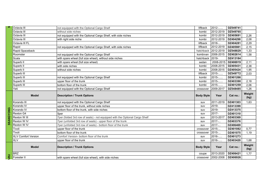| ഗ         | Octavia III                |                                                                                                       | liftback          | 2012-         | DZ549741 |                |
|-----------|----------------------------|-------------------------------------------------------------------------------------------------------|-------------------|---------------|----------|----------------|
|           | Octavia III                | not equipped with the Optional Cargo Shelf<br>without side niches                                     | kombi             | 2012-2019     | DZ549765 |                |
|           | Octavia III                | not equipped with the Optional Cargo Shelf, with side niches                                          |                   | 2012-2019     | DZ405691 | 2,26           |
|           | Octavia III                |                                                                                                       | kombi<br>kombi    | 2012-2019     | DZ404298 | 2,08           |
|           | Octavia III FL             | with right side niche                                                                                 | liftback          | 2018-         | DZ404281 | 2,29           |
|           | Rapid                      | not equipped with the Optional Cargo Shelf, with side niches                                          | liftback          | 2012-2019     | DZ405981 | 2,15           |
|           | Rapid Spaceback            |                                                                                                       | hatchback         | 2012-2019     | DZ548829 | 1,33           |
|           | Roomster                   |                                                                                                       | kombivan          | 2006-2015     | DZ402614 | 1,58           |
|           | Scala                      | not equipped with the Optional Cargo Shelf<br>with spare wheel (full size wheel), without side niches | hatchback         | 2019-         | DZ413184 |                |
|           | Superb II                  | with spare wheel (full size wheel)                                                                    | sedan             | 2008-2015     | DZ406919 | 2,11           |
|           | Superb II                  |                                                                                                       | kombi             | 2008-2015     | DZ405431 | 2,38           |
|           | Superb II                  | with side niches<br>without side niches                                                               |                   | 2008-2015     | DZ405424 | 1,95           |
|           | Superb III                 |                                                                                                       | kombi<br>liftback | 2015-         | DZ549772 |                |
|           | Superb III                 | not equipped with the Optional Cargo Shelf                                                            | kombi             | 2015-         | DZ401266 | 2,03           |
|           | Superb III                 | upper floor of the trunk                                                                              | kombi             | $2015$ -      | DZ403390 | 2,18           |
|           | Superb III                 | bottom floor of the trunk                                                                             | kombi             | 2015-         | DZ401259 | 2,06           |
|           | Yeti                       | not equipped with the Optional Cargo Shelf                                                            | crossover         | 2009-2017     | DZ548485 | 1,26           |
|           |                            |                                                                                                       |                   |               |          |                |
|           | <b>Model</b>               | <b>Description / Trunk Options</b>                                                                    | <b>Body Style</b> | Year          | Cat no.: | Weight<br>(kg) |
|           | Korando III                | not equipped with the Optional Cargo Shelf                                                            | suv               | $2011 - 2019$ | DZ401303 | 1,63           |
|           | Korando IV                 | upper floor of the trunk, without side niches                                                         | suv               | 2019-         | DZ413399 |                |
|           | Korando IV                 | bottom floor of the trunk, with side niches                                                           | suv               | 2019-         | DZ413375 |                |
|           | Rexton G4                  |                                                                                                       |                   |               |          |                |
|           |                            | 5per                                                                                                  | suv               | 2017-         | DZ401310 |                |
|           | Rexton W III               | 7per (folded 3rd row of seats) - not equipped with the Optional Cargo Shelf                           | suv               | 2013-2017     | DZ403369 |                |
|           | Rexton W IV                | 7per (unfolded 3rd row of seats) - upper floor of the trunk                                           | suv               | 2017-         | DZ403376 |                |
| SSANGYONG | Rexton W IV                | 7per (unfolded 3rd row of seats) - bottom floor of the trunk                                          | suv               | 2017-         | DZ406469 |                |
|           | Tivoli                     | upper floor of the trunk                                                                              | crossover         | 2015          | DZ401082 | 0,77           |
|           | Tivoli                     | bottom floor of the trunk                                                                             | crossover         | 2015-         | DZ401075 | 1,19           |
|           | <b>XLV Comfort Version</b> | Comfort Version- bottom floor of the trunk                                                            | suv               | 2016-         | DZ401273 |                |
|           | <b>XLV</b>                 | upper floor of the trunk                                                                              | suv               | 2016-         | DZ403420 | 1,68           |
|           | <b>Model</b>               | <b>Description / Trunk Options</b>                                                                    | <b>Body Style</b> | Year          | Cat no.: | Weight<br>(kg) |
| RU        | <b>BRZ</b>                 |                                                                                                       | coupe             | 2013-2020     | DZ406421 | 1,77           |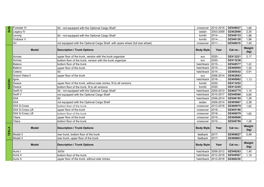| rens          | Forester IV            | 5d - not equipped with the Optional Cargo Shelf                                | crossover           | 2012-2018 | DZ548027 | 1,68           |
|---------------|------------------------|--------------------------------------------------------------------------------|---------------------|-----------|----------|----------------|
|               | Legacy IV              |                                                                                | sedan               | 2003-2009 | DZ402898 | 2,35           |
|               | Levorg                 | 5d - not equipped with the Optional Cargo Shelf                                | kombi               | 2014-     | DZ548133 | 1,96           |
|               | Outback V              |                                                                                | kombi               | 2014-     | DZ548126 | 1,96           |
|               | xv                     | not equipped with the Optional Cargo Shelf, with spare wheel (full size wheel) | crossover           | 2011-     | DZ548010 | 1,40           |
|               | <b>Model</b>           | <b>Description / Trunk Options</b>                                             | <b>Body Style</b>   | Year      | Cat no.: | Weight<br>(kg) |
|               | Across                 | upper floor of the trunk, version with the trunk organizer                     | suv                 | 2020-     | DZ413221 | 2,17           |
|               | Across                 | bottom floor of the trunk, version with the trunk organizer                    | suv                 | 2020-     | DZ413238 |                |
|               | Baleno                 | bottom floor of the trunk                                                      | hatchback           | 2015-     | DZ548577 | 1,22           |
|               | Baleno                 | upper floor of the trunk                                                       | hatchback           | 2015-     | DZ400955 | 1,30           |
|               | Celerio                | 5d                                                                             | hatchback 2014-     |           | DZ400542 | 0,91           |
|               | <b>Grand Vitara II</b> | upper floor of the trunk                                                       | suv                 | 2006-2014 | DZ402683 |                |
|               | Ignis                  |                                                                                | hatchback           | 2016-     | DZ400962 | 1,13           |
| <b>SUZUKI</b> | Swace                  | upper floor of the trunk, without side niches, fit to all versions             | kombi               | 2020-     | DZ413252 |                |
|               | Swace                  | bottom floor of the trunk, fit to all versions                                 | kombi               | 2020-     | DZ413245 |                |
|               | Swift IV               | 5d - not equipped with the Optional Cargo Shelf                                | hatchback           | 2005-2010 | DZ402775 | 1,14           |
|               | Swift V                | not equipped with the Optional Cargo Shelf                                     | hatchback           | 2010-2017 | DZ548560 | 0,80           |
|               | SX4                    | 5d                                                                             | hatchback           | 2006-2014 | DZ548195 | 1,26           |
|               | SX4                    | not equipped with the Optional Cargo Shelf                                     | sedan               | 2006-2014 | DZ405967 | 2,38           |
|               | SX4 S-Cross            | bottom floor of the trunk                                                      | crossover           | 2013-2018 | DZ400979 | 1,62           |
|               | SX4 S-Cross Lift       | upper floor of the trunk                                                       | crossover           | 2018-     | DZ405196 |                |
|               | SX4 S-Cross Lift       | bottom floor of the trunk                                                      | crossover           | 2018-     | DZ400979 | 1,62           |
|               | Vitara                 | upper floor of the trunk                                                       | crossover           | 2015-     | DZ400986 |                |
|               | Vitara                 | bottom floor of the trunk                                                      | crossover           | 2015-     | DZ548799 | 1,26           |
| TESLA         | <b>Model</b>           | <b>Description / Trunk Options</b>                                             | <b>Body Style</b>   | Year      | Cat no.: | Weight<br>(kg) |
|               | Model 3                | rear trunk, bottom floor of the trunk                                          | fastback            | 2017-     | DZ406827 | 0,49           |
|               | Model 3                | rear trunk, upper floor of the trunk                                           | fastback            | 2017-     | DZ406803 |                |
|               | <b>Model</b>           | <b>Description / Trunk Options</b>                                             | <b>Body Style</b>   | Year      | Cat no.: | Weight<br>(kg) |
|               | Auris I                | 3d/5d                                                                          | hatchback 2006-2012 |           | DZ548263 | 1,40           |
|               | Auris II               | bottom floor of the trunk                                                      | hatchback 2012-2018 |           | DZ549567 | 1,19           |
|               | Auris II               | upper floor of the trunk, without side niches                                  | hatchback 2012-2018 |           | DZ406230 |                |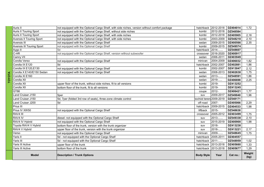| Auris II                         | not equipped with the Optional Cargo Shelf, with side niches, version without comfort package | hatchback              | 2012-2018 | DZ404014 | 1,72           |
|----------------------------------|-----------------------------------------------------------------------------------------------|------------------------|-----------|----------|----------------|
| <b>Auris II Touring Sport</b>    | not equipped with the Optional Cargo Shelf, without side niches                               | kombi                  | 2012-2018 | DZ548584 |                |
| <b>Auris II Touring Sport</b>    | not equipped with the Optional Cargo Shelf, with side niches                                  | kombi                  | 2012-2018 | DZ405905 | 2,18           |
| <b>Avensis II Touring Sport</b>  | not equipped with the Optional Cargo Shelf, with side niches                                  | kombi                  | 2003-2009 | DZ548218 | 2,10           |
| Avensis III                      | not equipped with the Optional Cargo Shelf                                                    | sedan                  | 2009-2015 | DZ400566 | 2,35           |
| <b>Avensis III Touring Sport</b> | not equipped with the Optional Cargo Shelf                                                    | kombi                  | 2009-2015 | DZ549574 |                |
| Aygo II                          | 5d                                                                                            | hatchback              | 2014-     | DZ548607 |                |
| C-HR                             | not equipped with the Optional Cargo Shelf, version without subwoofer                         | crossover              | 2016-2020 | DZ400917 |                |
| Camry VII                        |                                                                                               | sedan                  | 2006-2011 | DZ403949 |                |
| Corolla Verso                    | not equipped with the Optional Cargo Shelf                                                    | minivan                | 2004-2009 | DZ406032 | 1,82           |
| Corolla IX E120                  | 5d                                                                                            | hatchback              | 2002-2007 | DZ402881 | 1,86           |
| Corolla IX E120, E130            | not equipped with the Optional Cargo Shelf                                                    | kombi                  | 2002-2007 | DZ413047 | 2,12           |
| Corolla X E140/E150 Sedan        | not equipped with the Optional Cargo Shelf                                                    | sedan                  | 2008-2013 | DZ402638 | 1,75           |
| Corolla XI E160                  |                                                                                               | sedan                  | 2013-     | DZ548591 | 1,86           |
| Corolla XII                      |                                                                                               | sedan                  | 2019-     | DZ406698 | 2,25           |
| Corolla XII                      | upper floor of the trunk, without side niches, fit to all versions                            | kombi                  | 2019-     | DZ413252 |                |
| Corolla XII                      | bottom floor of the trunk, fit to all versions                                                | kombi                  | 2019-     | DZ413245 |                |
| GT86                             |                                                                                               | coupe                  | 2012-     | DZ406421 | 1,77           |
| Land Cruiser J150                | 5per                                                                                          | suv                    | 2009-2017 | DZ549840 | 1,96           |
| Land Cruiser J150                | 5d, 7per (folded 3rd row of seats), three-zone climate control                                | hochód teren 2009-2019 |           | DZ548171 |                |
| Land Cruiser J200                | 5d                                                                                            | off-road               | 2007-     | DZ405066 | 2,29           |
| Prius III                        |                                                                                               | hatchback              | 2009-2015 | DZ404533 | 1,98           |
| Prius IV XW50                    | not equipped with the Optional Cargo Shelf                                                    | liftback               | 2015-     | DZ548638 |                |
| RAV4 III                         |                                                                                               | crossover              | 2005-2012 | DZ403499 | 1,75           |
| RAV4 IV                          | diesel- not equipped with the Optional Cargo Shelf                                            | suv                    | 2013-     | DZ549338 | 2,10           |
| RAV4 IV Hybrid                   | not equipped with the Optional Cargo Shelf                                                    | suv                    | 2015-2019 | DZ400900 | 1,98           |
| Toyota RAV4 V Hybrid             | bottom floor of the trunk, version with the trunk organizer                                   | suv                    | 2018-     | DZ413238 |                |
| RAV4 V Hybrid                    | upper floor of the trunk, version with the trunk organizer                                    | suv                    | 2018-     | DZ413221 | 2,17           |
| Verso                            | not equipped with the Optional Cargo Shelf                                                    | minivan                | 2009-     | DZ548645 | 1,75           |
| Yaris II                         | 5d - not equipped with the Optional Cargo Shelf                                               | hatchback              | 2005-2011 | DZ404557 |                |
| Yaris III                        | 5d - not equipped with the Optional Cargo Shelf                                               | hatchback              | 2011-     | DZ548959 | 1,02           |
| Yaris III Active                 | upper floor of the trunk                                                                      | hatchback              | 2013-2018 | DZ405660 | 1,33           |
| Yaris III Active                 | bottom floor of the trunk                                                                     | hatchback              | 2013-2018 | DZ405677 | 1,29           |
| <b>Model</b>                     | <b>Description / Trunk Options</b>                                                            | <b>Body Style</b>      | Year      | Cat no.: | Weight<br>(kg) |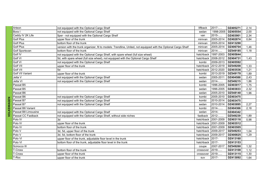| Arteon              | not equipped with the Optional Cargo Shelf                                                                     | liftback  | 2017-               | DZ405271 | 2,14 |
|---------------------|----------------------------------------------------------------------------------------------------------------|-----------|---------------------|----------|------|
| Bora I              | not equipped with the Optional Cargo Shelf                                                                     | sedan     | 1998-2005           | DZ405554 | 2,00 |
| Caddy IV 2K Life    | 5per - not equipped with the Optional Cargo Shelf                                                              | van       | 2015-               | DZ403901 | 2,34 |
| <b>Golf Plus</b>    | upper floor of the trunk                                                                                       | minivan   | 2005-2014           | DZ402874 | 0,84 |
| Golf Plus           | bottom floor of the trunk                                                                                      | minivan   | 2005-2014           | DZ413290 |      |
| <b>Golf Plus</b>    | version with the trunk organizer, fit to models: Trendline, United, not equipped with the Optional Cargo Shelf | minivan   | 2005-2014           | DZ406704 | 1,46 |
| Golf Sportsvan      | bottom floor of the trunk                                                                                      | minivan   | 2014-               | DZ549185 | 1,18 |
| Golf IV             | not equipped with the Optional Cargo Shelf, with spare wheel (full size wheel)                                 | hatchback | 1997-2003           | DZ405844 |      |
| Golf VI             | 5d, with spare wheel (full size wheel), not equipped with the Optional Cargo Shelf                             | hatchback | 2008-2012           | DZ404731 | 1,43 |
| Golf VI             | not equipped with the Optional Cargo Shelf                                                                     | kombi     | 2009-2013           | DZ405592 |      |
| <b>Golf VII</b>     | upper floor of the trunk                                                                                       | hatchback | 2012-2019           | DZ549208 | 1,33 |
| Golf VII            | 5d                                                                                                             | hatchback | 2012-2020           | DZ403536 | 1,21 |
| Golf VII Variant    | upper floor of the trunk                                                                                       | kombi     | 2013-2019           | DZ549178 | 1,89 |
| Jetta V             | not equipped with the Optional Cargo Shelf                                                                     | sedan     | 2005-2011           | DZ404588 | 2,43 |
| Jetta VI            | not equipped with the Optional Cargo Shelf                                                                     | sedan     | 2014-               | DZ549215 | 1,86 |
| Passat B5           |                                                                                                                | kombi     | 1996-2005           | DZ403017 | 1,75 |
| Passat B5           |                                                                                                                | sedan     | 1996-2005           | DZ403833 | 2,32 |
| Passat B6           |                                                                                                                | sedan     | 2005-2010           | DZ548140 | 1,96 |
| Passat B6           | not equipped with the Optional Cargo Shelf                                                                     | kombi     | 2005-2010           | DZ403475 |      |
| Passat B7           | not equipped with the Optional Cargo Shelf                                                                     | kombi     | 2010-2014           | DZ403475 |      |
| Passat B7           | not equipped with the Optional Cargo Shelf                                                                     | sedan     | 2010-2014           | DZ403895 | 2,27 |
| Passat B8 Variant   |                                                                                                                | kombi     | 2014-               | DZ404366 | 2,18 |
| Passat B8 Limousine | not equipped with the Optional Cargo Shelf                                                                     | sedan     | 2014-               | DZ404342 |      |
| Passat CC Fastback  | not equipped with the Optional Cargo Shelf, without side niches                                                | fastback  | 2012-               | DZ549239 | 1,89 |
| Polo IV             | 3d                                                                                                             | hatchback | 2001-2009           | DZ403116 | 0,98 |
| Polo IV             | upper floor of the trunk                                                                                       | hatchback | 2001-2009           | DZ403512 |      |
| Polo IV             | bottom floor of the trunk                                                                                      |           | hatchback 2001-2009 | DZ403505 |      |
| Polo V              | 3d, 5d, upper floor of the trunk                                                                               | hatchback | 2009-2017           | DZ549253 | 1,04 |
| Polo V              | 3d, 5d, bottom floor of the trunk                                                                              | hatchback | 2009-2017           | DZ400825 | 1,29 |
| Polo VI             | upper floor of the trunk, adjustable floor level in the trunk                                                  | hatchback | 2017-               | DZ413160 |      |
| Polo VI             | bottom floor of the trunk, adjustable floor level in the trunk                                                 | hatchback | 2017-               | DZ413153 |      |
| Scirocco III        |                                                                                                                | coupe     | 2007-2017           | DZ549260 | 1,32 |
| T-Cross             | bottom floor of the trunk                                                                                      | crossover | 2019-               | DZ413108 | 1,12 |
| T-Cross             | upper floor of the trunk                                                                                       | crossover | 2019-               | DZ413115 | 1,30 |
| T-Roc               | upper floor of the trunk                                                                                       | suv       | 2017-               | DZ413092 | 1,64 |